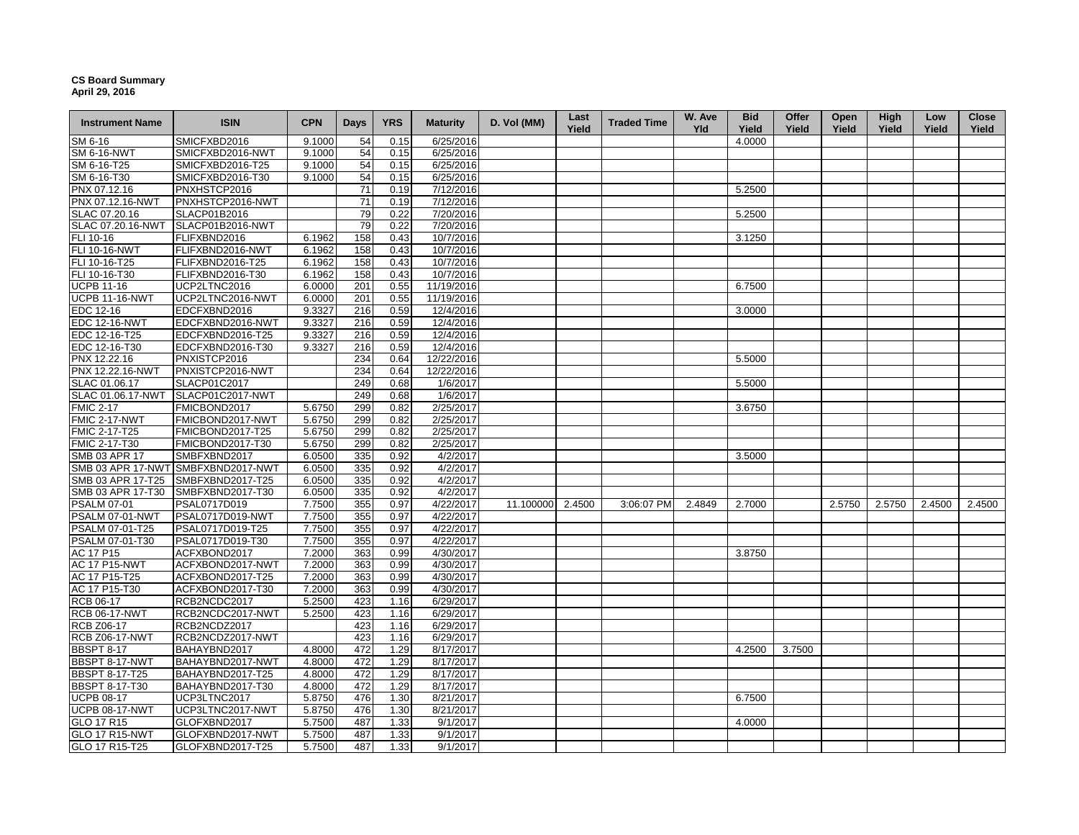## **CS Board Summary April 29, 2016**

| <b>Instrument Name</b> | <b>ISIN</b>                        | <b>CPN</b> | <b>Days</b> | <b>YRS</b> | <b>Maturity</b> | D. Vol (MM)      | Last<br>Yield | <b>Traded Time</b> | W. Ave<br><b>Yld</b> | <b>Bid</b><br>Yield | Offer<br>Yield | Open<br>Yield | <b>High</b><br>Yield | Low<br>Yield | Close<br>Yield |
|------------------------|------------------------------------|------------|-------------|------------|-----------------|------------------|---------------|--------------------|----------------------|---------------------|----------------|---------------|----------------------|--------------|----------------|
| SM 6-16                | SMICFXBD2016                       | 9.1000     | 54          | 0.15       | 6/25/2016       |                  |               |                    |                      | 4.0000              |                |               |                      |              |                |
| <b>SM 6-16-NWT</b>     | SMICFXBD2016-NWT                   | 9.1000     | 54          | 0.15       | 6/25/2016       |                  |               |                    |                      |                     |                |               |                      |              |                |
| SM 6-16-T25            | SMICFXBD2016-T25                   | 9.1000     | 54          | 0.15       | 6/25/2016       |                  |               |                    |                      |                     |                |               |                      |              |                |
| SM 6-16-T30            | SMICFXBD2016-T30                   | 9.1000     | 54          | 0.15       | 6/25/2016       |                  |               |                    |                      |                     |                |               |                      |              |                |
| PNX 07.12.16           | PNXHSTCP2016                       |            | 71          | 0.19       | 7/12/2016       |                  |               |                    |                      | 5.2500              |                |               |                      |              |                |
| PNX 07.12.16-NWT       | PNXHSTCP2016-NWT                   |            | 71          | 0.19       | 7/12/2016       |                  |               |                    |                      |                     |                |               |                      |              |                |
| SLAC 07.20.16          | SLACP01B2016                       |            | 79          | 0.22       | 7/20/2016       |                  |               |                    |                      | 5.2500              |                |               |                      |              |                |
| SLAC 07.20.16-NWT      | SLACP01B2016-NWT                   |            | 79          | 0.22       | 7/20/2016       |                  |               |                    |                      |                     |                |               |                      |              |                |
| FLI 10-16              | FLIFXBND2016                       | 6.1962     | 158         | 0.43       | 10/7/2016       |                  |               |                    |                      | 3.1250              |                |               |                      |              |                |
| FLI 10-16-NWT          | FLIFXBND2016-NWT                   | 6.1962     | 158         | 0.43       | 10/7/2016       |                  |               |                    |                      |                     |                |               |                      |              |                |
| FLI 10-16-T25          | FLIFXBND2016-T25                   | 6.1962     | 158         | 0.43       | 10/7/2016       |                  |               |                    |                      |                     |                |               |                      |              |                |
| FLI 10-16-T30          | FLIFXBND2016-T30                   | 6.1962     | 158         | 0.43       | 10/7/2016       |                  |               |                    |                      |                     |                |               |                      |              |                |
| <b>UCPB 11-16</b>      | UCP2LTNC2016                       | 6.0000     | 201         | 0.55       | 11/19/2016      |                  |               |                    |                      | 6.7500              |                |               |                      |              |                |
| <b>UCPB 11-16-NWT</b>  | UCP2LTNC2016-NWT                   | 6.0000     | 201         | 0.55       | 11/19/2016      |                  |               |                    |                      |                     |                |               |                      |              |                |
| EDC 12-16              | EDCFXBND2016                       | 9.3327     | 216         | 0.59       | 12/4/2016       |                  |               |                    |                      | 3.0000              |                |               |                      |              |                |
| <b>EDC 12-16-NWT</b>   | EDCFXBND2016-NWT                   | 9.3327     | 216         | 0.59       | 12/4/2016       |                  |               |                    |                      |                     |                |               |                      |              |                |
| EDC 12-16-T25          | EDCFXBND2016-T25                   | 9.3327     | 216         | 0.59       | 12/4/2016       |                  |               |                    |                      |                     |                |               |                      |              |                |
| EDC 12-16-T30          | EDCFXBND2016-T30                   | 9.3327     | 216         | 0.59       | 12/4/2016       |                  |               |                    |                      |                     |                |               |                      |              |                |
| PNX 12.22.16           | PNXISTCP2016                       |            | 234         | 0.64       | 12/22/2016      |                  |               |                    |                      | 5.5000              |                |               |                      |              |                |
| PNX 12.22.16-NWT       | PNXISTCP2016-NWT                   |            | 234         | 0.64       | 12/22/2016      |                  |               |                    |                      |                     |                |               |                      |              |                |
| SLAC 01.06.17          | SLACP01C2017                       |            | 249         | 0.68       | 1/6/2017        |                  |               |                    |                      | 5.5000              |                |               |                      |              |                |
| SLAC 01.06.17-NWT      | SLACP01C2017-NWT                   |            | 249         | 0.68       | 1/6/2017        |                  |               |                    |                      |                     |                |               |                      |              |                |
| <b>FMIC 2-17</b>       | FMICBOND2017                       | 5.6750     | 299         | 0.82       | 2/25/2017       |                  |               |                    |                      | 3.6750              |                |               |                      |              |                |
| <b>FMIC 2-17-NWT</b>   | FMICBOND2017-NWT                   | 5.6750     | 299         | 0.82       | 2/25/2017       |                  |               |                    |                      |                     |                |               |                      |              |                |
| FMIC 2-17-T25          | FMICBOND2017-T25                   | 5.6750     | 299         | 0.82       | 2/25/2017       |                  |               |                    |                      |                     |                |               |                      |              |                |
| FMIC 2-17-T30          | FMICBOND2017-T30                   | 5.6750     | 299         | 0.82       | 2/25/2017       |                  |               |                    |                      |                     |                |               |                      |              |                |
| SMB 03 APR 17          | SMBFXBND2017                       | 6.0500     | 335         | 0.92       | 4/2/2017        |                  |               |                    |                      | 3.5000              |                |               |                      |              |                |
|                        | SMB 03 APR 17-NWT SMBFXBND2017-NWT | 6.0500     | 335         | 0.92       | 4/2/2017        |                  |               |                    |                      |                     |                |               |                      |              |                |
| SMB 03 APR 17-T25      | SMBFXBND2017-T25                   | 6.0500     | 335         | 0.92       | 4/2/2017        |                  |               |                    |                      |                     |                |               |                      |              |                |
| SMB 03 APR 17-T30      | SMBFXBND2017-T30                   | 6.0500     | 335         | 0.92       | 4/2/2017        |                  |               |                    |                      |                     |                |               |                      |              |                |
| <b>PSALM 07-01</b>     | PSAL0717D019                       | 7.7500     | 355         | 0.97       | 4/22/2017       | 11.100000 2.4500 |               | 3:06:07 PM         | 2.4849               | 2.7000              |                | 2.5750        | 2.5750               | 2.4500       | 2.4500         |
| PSALM 07-01-NWT        | PSAL0717D019-NWT                   | 7.7500     | 355         | 0.97       | 4/22/2017       |                  |               |                    |                      |                     |                |               |                      |              |                |
| PSALM 07-01-T25        | PSAL0717D019-T25                   | 7.7500     | 355         | 0.97       | 4/22/2017       |                  |               |                    |                      |                     |                |               |                      |              |                |
| PSALM 07-01-T30        | PSAL0717D019-T30                   | 7.7500     | 355         | 0.97       | 4/22/2017       |                  |               |                    |                      |                     |                |               |                      |              |                |
| AC 17 P15              | ACFXBOND2017                       | 7.2000     | 363         | 0.99       | 4/30/2017       |                  |               |                    |                      | 3.8750              |                |               |                      |              |                |
| <b>AC 17 P15-NWT</b>   | ACFXBOND2017-NWT                   | 7.2000     | 363         | 0.99       | 4/30/2017       |                  |               |                    |                      |                     |                |               |                      |              |                |
| AC 17 P15-T25          | ACFXBOND2017-T25                   | 7.2000     | 363         | 0.99       | 4/30/2017       |                  |               |                    |                      |                     |                |               |                      |              |                |
| AC 17 P15-T30          | ACFXBOND2017-T30                   | 7.2000     | 363         | 0.99       | 4/30/2017       |                  |               |                    |                      |                     |                |               |                      |              |                |
| RCB 06-17              | RCB2NCDC2017                       | 5.2500     | 423         | 1.16       | 6/29/2017       |                  |               |                    |                      |                     |                |               |                      |              |                |
| <b>RCB 06-17-NWT</b>   | RCB2NCDC2017-NWT                   | 5.2500     | 423         | 1.16       | 6/29/2017       |                  |               |                    |                      |                     |                |               |                      |              |                |
| <b>RCB Z06-17</b>      | RCB2NCDZ2017                       |            | 423         | 1.16       | 6/29/2017       |                  |               |                    |                      |                     |                |               |                      |              |                |
| <b>RCB Z06-17-NWT</b>  | RCB2NCDZ2017-NWT                   |            | 423         | 1.16       | 6/29/2017       |                  |               |                    |                      |                     |                |               |                      |              |                |
| <b>BBSPT 8-17</b>      | BAHAYBND2017                       | 4.8000     | 472         | 1.29       | 8/17/2017       |                  |               |                    |                      | 4.2500              | 3.7500         |               |                      |              |                |
| BBSPT 8-17-NWT         | BAHAYBND2017-NWT                   | 4.8000     | 472         | 1.29       | 8/17/2017       |                  |               |                    |                      |                     |                |               |                      |              |                |
| <b>BBSPT 8-17-T25</b>  | BAHAYBND2017-T25                   | 4.8000     | 472         | 1.29       | 8/17/2017       |                  |               |                    |                      |                     |                |               |                      |              |                |
| BBSPT 8-17-T30         | BAHAYBND2017-T30                   | 4.8000     | 472         | 1.29       | 8/17/2017       |                  |               |                    |                      |                     |                |               |                      |              |                |
| <b>UCPB 08-17</b>      | UCP3LTNC2017                       | 5.8750     | 476         | 1.30       | 8/21/2017       |                  |               |                    |                      | 6.7500              |                |               |                      |              |                |
| <b>UCPB 08-17-NWT</b>  | UCP3LTNC2017-NWT                   | 5.8750     | 476         | 1.30       | 8/21/2017       |                  |               |                    |                      |                     |                |               |                      |              |                |
| GLO 17 R15             | GLOFXBND2017                       | 5.7500     | 487         | 1.33       | 9/1/2017        |                  |               |                    |                      | 4.0000              |                |               |                      |              |                |
| <b>GLO 17 R15-NWT</b>  | GLOFXBND2017-NWT                   | 5.7500     | 487         | 1.33       | 9/1/2017        |                  |               |                    |                      |                     |                |               |                      |              |                |
| GLO 17 R15-T25         | GLOFXBND2017-T25                   | 5.7500     | 487         | 1.33       | 9/1/2017        |                  |               |                    |                      |                     |                |               |                      |              |                |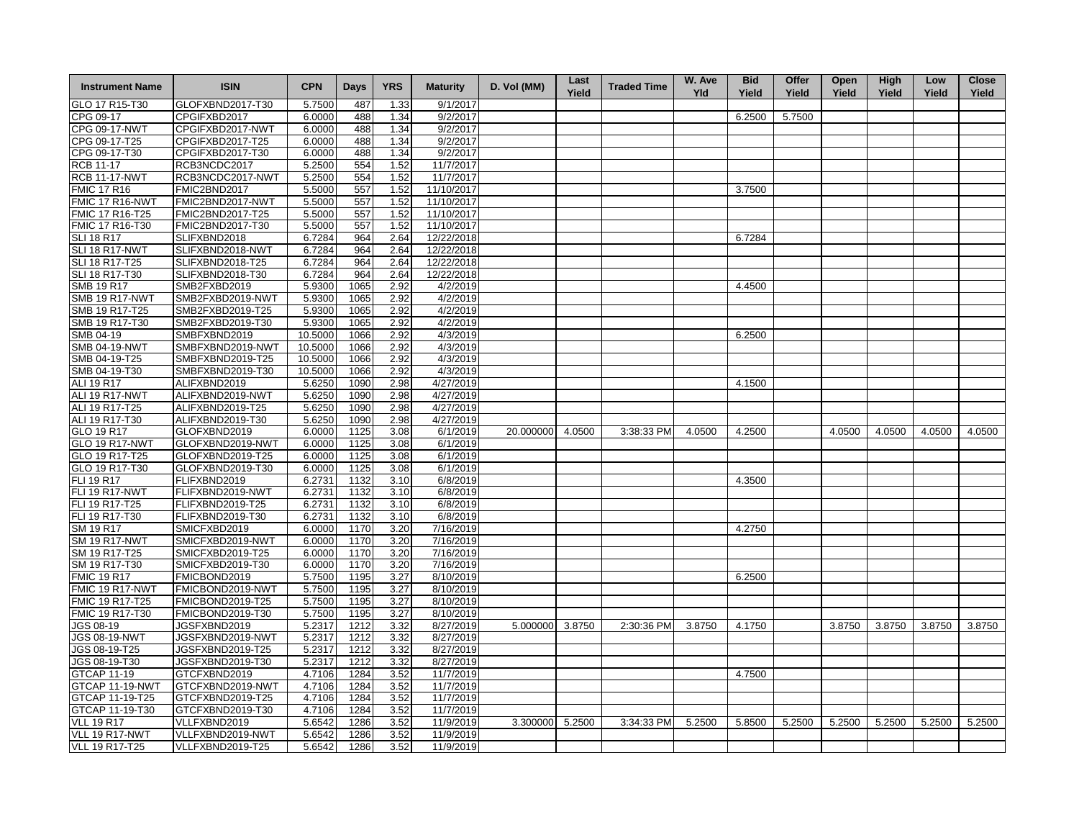| <b>Instrument Name</b>                    | <b>ISIN</b>                          | <b>CPN</b>       | Days         | <b>YRS</b>   | <b>Maturity</b>        | D. Vol (MM)     | Last<br>Yield | <b>Traded Time</b> | W. Ave<br><b>Yld</b> | <b>Bid</b><br>Yield | Offer<br>Yield | Open<br>Yield | <b>High</b><br>Yield | Low<br>Yield | <b>Close</b><br>Yield |
|-------------------------------------------|--------------------------------------|------------------|--------------|--------------|------------------------|-----------------|---------------|--------------------|----------------------|---------------------|----------------|---------------|----------------------|--------------|-----------------------|
| GLO 17 R15-T30                            | GLOFXBND2017-T30                     | 5.7500           | 487          | 1.33         | 9/1/2017               |                 |               |                    |                      |                     |                |               |                      |              |                       |
| CPG 09-17                                 | CPGIFXBD2017                         | 6.0000           | 488          | 1.34         | 9/2/2017               |                 |               |                    |                      | 6.2500              | 5.7500         |               |                      |              |                       |
| <b>CPG 09-17-NWT</b>                      | CPGIFXBD2017-NWT                     | 6.0000           | 488          | 1.34         | 9/2/2017               |                 |               |                    |                      |                     |                |               |                      |              |                       |
| CPG 09-17-T25                             | CPGIFXBD2017-T25                     | 6.0000           | 488          | 1.34         | 9/2/2017               |                 |               |                    |                      |                     |                |               |                      |              |                       |
| CPG 09-17-T30                             | CPGIFXBD2017-T30                     | 6.0000           | 488          | 1.34         | 9/2/2017               |                 |               |                    |                      |                     |                |               |                      |              |                       |
| <b>RCB 11-17</b>                          | RCB3NCDC2017                         | 5.2500           | 554          | 1.52         | 11/7/2017              |                 |               |                    |                      |                     |                |               |                      |              |                       |
| <b>RCB 11-17-NWT</b>                      | RCB3NCDC2017-NWT                     | 5.2500           | 554          | 1.52         | 11/7/2017              |                 |               |                    |                      |                     |                |               |                      |              |                       |
| <b>FMIC 17 R16</b>                        | FMIC2BND2017                         | 5.5000           | 557          | 1.52         | 11/10/2017             |                 |               |                    |                      | 3.7500              |                |               |                      |              |                       |
| <b>FMIC 17 R16-NWT</b>                    | FMIC2BND2017-NWT                     | 5.5000           | 557          | 1.52         | 11/10/2017             |                 |               |                    |                      |                     |                |               |                      |              |                       |
| FMIC 17 R16-T25                           | FMIC2BND2017-T25                     | 5.5000           | 557          | 1.52         | 11/10/2017             |                 |               |                    |                      |                     |                |               |                      |              |                       |
| FMIC 17 R16-T30                           | FMIC2BND2017-T30                     | 5.5000           | 557          | 1.52         | 11/10/2017             |                 |               |                    |                      |                     |                |               |                      |              |                       |
| <b>SLI 18 R17</b>                         | SLIFXBND2018                         | 6.7284           | 964          | 2.64         | 12/22/2018             |                 |               |                    |                      | 6.7284              |                |               |                      |              |                       |
| SLI 18 R17-NWT                            | SLIFXBND2018-NWT                     | 6.7284           | 964          | 2.64         | 12/22/2018             |                 |               |                    |                      |                     |                |               |                      |              |                       |
| SLI 18 R17-T25                            | SLIFXBND2018-T25                     | 6.7284           | 964          | 2.64         | 12/22/2018             |                 |               |                    |                      |                     |                |               |                      |              |                       |
| SLI 18 R17-T30                            | SLIFXBND2018-T30                     | 6.7284           | 964          | 2.64         | 12/22/2018             |                 |               |                    |                      |                     |                |               |                      |              |                       |
| <b>SMB 19 R17</b>                         | SMB2FXBD2019                         | 5.9300           | 1065         | 2.92         | 4/2/2019               |                 |               |                    |                      | 4.4500              |                |               |                      |              |                       |
| <b>SMB 19 R17-NWT</b>                     | SMB2FXBD2019-NWT                     | 5.9300           | 1065         | 2.92         | 4/2/2019               |                 |               |                    |                      |                     |                |               |                      |              |                       |
| SMB 19 R17-T25                            | SMB2FXBD2019-T25                     | 5.9300           | 1065         | 2.92         | 4/2/2019               |                 |               |                    |                      |                     |                |               |                      |              |                       |
| SMB 19 R17-T30                            | SMB2FXBD2019-T30                     | 5.9300           | 1065         | 2.92         | 4/2/2019               |                 |               |                    |                      |                     |                |               |                      |              |                       |
| SMB 04-19                                 | SMBFXBND2019                         | 10.5000          | 1066         | 2.92         | 4/3/2019               |                 |               |                    |                      | 6.2500              |                |               |                      |              |                       |
| <b>SMB 04-19-NWT</b>                      | SMBFXBND2019-NWT                     | 10.5000          | 1066         | 2.92         | 4/3/2019               |                 |               |                    |                      |                     |                |               |                      |              |                       |
| SMB 04-19-T25                             | SMBFXBND2019-T25                     | 10.5000          | 1066         | 2.92         | 4/3/2019               |                 |               |                    |                      |                     |                |               |                      |              |                       |
|                                           |                                      | 10.5000          | 1066         | 2.92         | 4/3/2019               |                 |               |                    |                      |                     |                |               |                      |              |                       |
| SMB 04-19-T30                             | SMBFXBND2019-T30                     |                  |              |              |                        |                 |               |                    |                      |                     |                |               |                      |              |                       |
| <b>ALI 19 R17</b>                         | ALIFXBND2019                         | 5.6250           | 1090         | 2.98         | 4/27/2019              |                 |               |                    |                      | 4.1500              |                |               |                      |              |                       |
| ALI 19 R17-NWT                            | ALIFXBND2019-NWT                     | 5.6250           | 1090<br>1090 | 2.98         | 4/27/2019              |                 |               |                    |                      |                     |                |               |                      |              |                       |
| ALI 19 R17-T25                            | ALIFXBND2019-T25                     | 5.6250           |              | 2.98         | 4/27/2019              |                 |               |                    |                      |                     |                |               |                      |              |                       |
| ALI 19 R17-T30                            | ALIFXBND2019-T30                     | 5.6250           | 1090         | 2.98         | 4/27/2019              |                 |               |                    |                      |                     |                |               |                      |              |                       |
| GLO 19 R17<br><b>GLO 19 R17-NWT</b>       | GLOFXBND2019<br>GLOFXBND2019-NWT     | 6.0000<br>6.0000 | 1125<br>1125 | 3.08<br>3.08 | 6/1/2019<br>6/1/2019   | 20.000000       | 4.0500        | 3:38:33 PM         | 4.0500               | 4.2500              |                | 4.0500        | 4.0500               | 4.0500       | 4.0500                |
| GLO 19 R17-T25                            | GLOFXBND2019-T25                     | 6.0000           | 1125         | 3.08         | 6/1/2019               |                 |               |                    |                      |                     |                |               |                      |              |                       |
| GLO 19 R17-T30                            | GLOFXBND2019-T30                     | 6.0000           | 1125         | 3.08         | 6/1/2019               |                 |               |                    |                      |                     |                |               |                      |              |                       |
| <b>FLI 19 R17</b>                         | FLIFXBND2019                         | 6.2731           | 1132         | 3.10         | 6/8/2019               |                 |               |                    |                      | 4.3500              |                |               |                      |              |                       |
| <b>FLI 19 R17-NWT</b>                     | FLIFXBND2019-NWT                     | 6.2731           | 1132         | 3.10         | 6/8/2019               |                 |               |                    |                      |                     |                |               |                      |              |                       |
| FLI 19 R17-T25                            | FLIFXBND2019-T25                     | 6.2731           | 1132         | 3.10         | 6/8/2019               |                 |               |                    |                      |                     |                |               |                      |              |                       |
|                                           |                                      | 6.2731           | 1132         | 3.10         | 6/8/2019               |                 |               |                    |                      |                     |                |               |                      |              |                       |
| FLI 19 R17-T30                            | FLIFXBND2019-T30                     |                  |              |              |                        |                 |               |                    |                      |                     |                |               |                      |              |                       |
| SM 19 R17                                 | SMICFXBD2019                         | 6.0000           | 1170         | 3.20         | 7/16/2019              |                 |               |                    |                      | 4.2750              |                |               |                      |              |                       |
| <b>SM 19 R17-NWT</b>                      | SMICFXBD2019-NWT                     | 6.0000           | 1170         | 3.20         | 7/16/2019              |                 |               |                    |                      |                     |                |               |                      |              |                       |
| SM 19 R17-T25<br>SM 19 R17-T30            | SMICFXBD2019-T25<br>SMICFXBD2019-T30 | 6.0000<br>6.0000 | 1170<br>1170 | 3.20         | 7/16/2019<br>7/16/2019 |                 |               |                    |                      |                     |                |               |                      |              |                       |
| <b>FMIC 19 R17</b>                        | FMICBOND2019                         | 5.7500           | 1195         | 3.20<br>3.27 | 8/10/2019              |                 |               |                    |                      | 6.2500              |                |               |                      |              |                       |
|                                           |                                      |                  |              |              |                        |                 |               |                    |                      |                     |                |               |                      |              |                       |
| <b>FMIC 19 R17-NWT</b><br>FMIC 19 R17-T25 | FMICBOND2019-NWT<br>FMICBOND2019-T25 | 5.7500<br>5.7500 | 1195<br>1195 | 3.27<br>3.27 | 8/10/2019<br>8/10/2019 |                 |               |                    |                      |                     |                |               |                      |              |                       |
| FMIC 19 R17-T30                           | FMICBOND2019-T30                     | 5.7500           | 1195         | 3.27         | 8/10/2019              |                 |               |                    |                      |                     |                |               |                      |              |                       |
| JGS 08-19                                 | JGSFXBND2019                         | 5.2317           | 1212         | 3.32         | 8/27/2019              | 5.000000 3.8750 |               | 2:30:36 PM         | 3.8750               | 4.1750              |                | 3.8750        | 3.8750               | 3.8750       | 3.8750                |
| JGS 08-19-NWT                             | JGSFXBND2019-NWT                     | 5.2317           | 1212         | 3.32         | 8/27/2019              |                 |               |                    |                      |                     |                |               |                      |              |                       |
| JGS 08-19-T25                             | JGSFXBND2019-T25                     | 5.2317           | 1212         | 3.32         | 8/27/2019              |                 |               |                    |                      |                     |                |               |                      |              |                       |
| JGS 08-19-T30                             | JGSFXBND2019-T30                     | 5.2317           | 1212         | 3.32         | 8/27/2019              |                 |               |                    |                      |                     |                |               |                      |              |                       |
| GTCAP 11-19                               | GTCFXBND2019                         | 4.7106           | 1284         | 3.52         | 11/7/2019              |                 |               |                    |                      | 4.7500              |                |               |                      |              |                       |
| GTCAP 11-19-NWT                           | GTCFXBND2019-NWT                     | 4.7106           | 1284         | 3.52         | 11/7/2019              |                 |               |                    |                      |                     |                |               |                      |              |                       |
|                                           |                                      |                  |              |              | 11/7/2019              |                 |               |                    |                      |                     |                |               |                      |              |                       |
| GTCAP 11-19-T25                           | GTCFXBND2019-T25                     | 4.7106           | 1284         | 3.52         |                        |                 |               |                    |                      |                     |                |               |                      |              |                       |
| GTCAP 11-19-T30                           | GTCFXBND2019-T30                     | 4.7106           | 1284         | 3.52         | 11/7/2019              |                 |               |                    |                      |                     |                |               |                      |              |                       |
| <b>VLL 19 R17</b>                         | VLLFXBND2019                         | 5.6542           | 1286         | 3.52         | 11/9/2019              | 3.300000        | 5.2500        | 3:34:33 PM         | 5.2500               | 5.8500              | 5.2500         | 5.2500        | 5.2500               | 5.2500       | 5.2500                |
| <b>VLL 19 R17-NWT</b>                     | VLLFXBND2019-NWT                     | 5.6542           | 1286         | 3.52         | 11/9/2019              |                 |               |                    |                      |                     |                |               |                      |              |                       |
| <b>VLL 19 R17-T25</b>                     | VLLFXBND2019-T25                     | 5.6542           | 1286         | 3.52         | 11/9/2019              |                 |               |                    |                      |                     |                |               |                      |              |                       |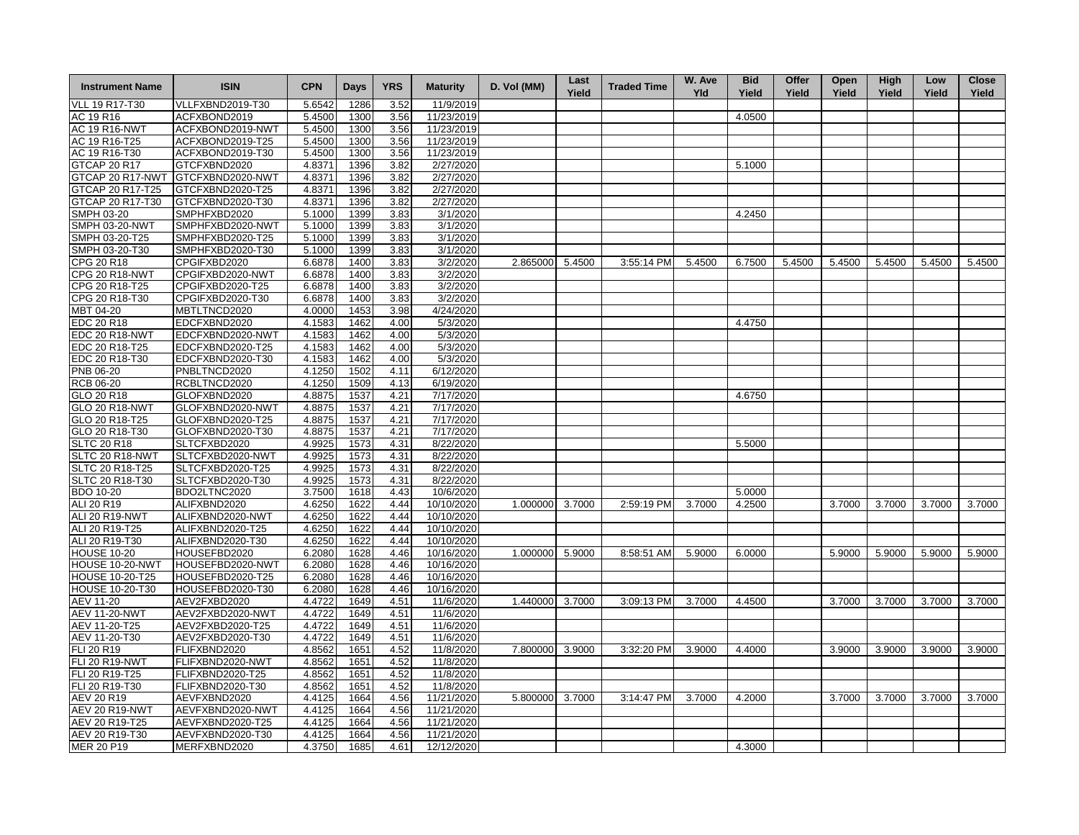| <b>Instrument Name</b> | <b>ISIN</b>                       | <b>CPN</b> | Days | <b>YRS</b> | <b>Maturity</b>       | D. Vol (MM)     | Last<br>Yield | <b>Traded Time</b> | W. Ave<br><b>Yld</b> | <b>Bid</b><br>Yield | Offer<br>Yield | Open<br>Yield | High<br>Yield | Low<br>Yield | <b>Close</b><br>Yield |
|------------------------|-----------------------------------|------------|------|------------|-----------------------|-----------------|---------------|--------------------|----------------------|---------------------|----------------|---------------|---------------|--------------|-----------------------|
| VLL 19 R17-T30         | VLLFXBND2019-T30                  | 5.6542     | 1286 | 3.52       | 11/9/2019             |                 |               |                    |                      |                     |                |               |               |              |                       |
| AC 19 R16              | ACFXBOND2019                      | 5.4500     | 1300 | 3.56       | 11/23/2019            |                 |               |                    |                      | 4.0500              |                |               |               |              |                       |
| <b>AC 19 R16-NWT</b>   | ACFXBOND2019-NWT                  | 5.4500     | 1300 | 3.56       | 11/23/2019            |                 |               |                    |                      |                     |                |               |               |              |                       |
| AC 19 R16-T25          | ACFXBOND2019-T25                  | 5.4500     | 1300 | 3.56       | 11/23/2019            |                 |               |                    |                      |                     |                |               |               |              |                       |
| AC 19 R16-T30          | ACFXBOND2019-T30                  | 5.4500     | 1300 | 3.56       | 11/23/2019            |                 |               |                    |                      |                     |                |               |               |              |                       |
| <b>GTCAP 20 R17</b>    | GTCFXBND2020                      | 4.8371     | 1396 | 3.82       | 2/27/2020             |                 |               |                    |                      | 5.1000              |                |               |               |              |                       |
|                        | GTCAP 20 R17-NWT GTCFXBND2020-NWT | 4.8371     | 1396 | 3.82       | 2/27/2020             |                 |               |                    |                      |                     |                |               |               |              |                       |
| GTCAP 20 R17-T25       | GTCFXBND2020-T25                  | 4.8371     | 1396 | 3.82       | 2/27/2020             |                 |               |                    |                      |                     |                |               |               |              |                       |
| GTCAP 20 R17-T30       | GTCFXBND2020-T30                  | 4.8371     | 1396 | 3.82       | 2/27/2020             |                 |               |                    |                      |                     |                |               |               |              |                       |
| SMPH 03-20             | SMPHFXBD2020                      | 5.1000     | 1399 | 3.83       | 3/1/2020              |                 |               |                    |                      | 4.2450              |                |               |               |              |                       |
| <b>SMPH 03-20-NWT</b>  | SMPHFXBD2020-NWT                  | 5.1000     | 1399 | 3.83       | 3/1/2020              |                 |               |                    |                      |                     |                |               |               |              |                       |
| SMPH 03-20-T25         | SMPHFXBD2020-T25                  | 5.1000     | 1399 | 3.83       | 3/1/2020              |                 |               |                    |                      |                     |                |               |               |              |                       |
| SMPH 03-20-T30         | SMPHFXBD2020-T30                  | 5.1000     | 1399 | 3.83       | 3/1/2020              |                 |               |                    |                      |                     |                |               |               |              |                       |
| CPG 20 R18             | CPGIFXBD2020                      | 6.6878     | 1400 | 3.83       | 3/2/2020              | 2.865000        | 5.4500        | 3:55:14 PM         | 5.4500               | 6.7500              | 5.4500         | 5.4500        | 5.4500        | 5.4500       | 5.4500                |
| <b>CPG 20 R18-NWT</b>  | CPGIFXBD2020-NWT                  | 6.6878     | 1400 | 3.83       | 3/2/2020              |                 |               |                    |                      |                     |                |               |               |              |                       |
| CPG 20 R18-T25         | CPGIFXBD2020-T25                  | 6.6878     | 1400 | 3.83       | 3/2/2020              |                 |               |                    |                      |                     |                |               |               |              |                       |
| CPG 20 R18-T30         | CPGIFXBD2020-T30                  | 6.6878     | 1400 | 3.83       | 3/2/2020              |                 |               |                    |                      |                     |                |               |               |              |                       |
| MBT 04-20              | MBTLTNCD2020                      | 4.0000     | 1453 | 3.98       | 4/24/2020             |                 |               |                    |                      |                     |                |               |               |              |                       |
| <b>EDC 20 R18</b>      | EDCFXBND2020                      | 4.1583     | 1462 | 4.00       | 5/3/2020              |                 |               |                    |                      | 4.4750              |                |               |               |              |                       |
| EDC 20 R18-NWT         | EDCFXBND2020-NWT                  | 4.1583     | 1462 | 4.00       | 5/3/2020              |                 |               |                    |                      |                     |                |               |               |              |                       |
| EDC 20 R18-T25         | EDCFXBND2020-T25                  | 4.1583     | 1462 | 4.00       | 5/3/2020              |                 |               |                    |                      |                     |                |               |               |              |                       |
| EDC 20 R18-T30         | EDCFXBND2020-T30                  | 4.1583     | 1462 | 4.00       | 5/3/2020              |                 |               |                    |                      |                     |                |               |               |              |                       |
| PNB 06-20              | PNBLTNCD2020                      | 4.1250     | 1502 | 4.11       | 6/12/2020             |                 |               |                    |                      |                     |                |               |               |              |                       |
| <b>RCB 06-20</b>       | RCBLTNCD2020                      | 4.1250     | 1509 | 4.13       | 6/19/2020             |                 |               |                    |                      |                     |                |               |               |              |                       |
| GLO 20 R18             | GLOFXBND2020                      | 4.8875     | 1537 | 4.21       | 7/17/2020             |                 |               |                    |                      | 4.6750              |                |               |               |              |                       |
| <b>GLO 20 R18-NWT</b>  | GLOFXBND2020-NWT                  | 4.8875     | 1537 | 4.21       | 7/17/2020             |                 |               |                    |                      |                     |                |               |               |              |                       |
| GLO 20 R18-T25         | GLOFXBND2020-T25                  | 4.8875     | 1537 | 4.21       | 7/17/2020             |                 |               |                    |                      |                     |                |               |               |              |                       |
| GLO 20 R18-T30         | GLOFXBND2020-T30                  | 4.8875     | 1537 | 4.21       | $\frac{1}{7}$ 17/2020 |                 |               |                    |                      |                     |                |               |               |              |                       |
| <b>SLTC 20 R18</b>     | SLTCFXBD2020                      | 4.9925     | 1573 | 4.31       | 8/22/2020             |                 |               |                    |                      | 5.5000              |                |               |               |              |                       |
| SLTC 20 R18-NW1        | SLTCFXBD2020-NWT                  | 4.9925     | 1573 | 4.31       | 8/22/2020             |                 |               |                    |                      |                     |                |               |               |              |                       |
| SLTC 20 R18-T25        | SLTCFXBD2020-T25                  | 4.9925     | 1573 | 4.31       | 8/22/2020             |                 |               |                    |                      |                     |                |               |               |              |                       |
| SLTC 20 R18-T30        | SLTCFXBD2020-T30                  | 4.9925     | 1573 | 4.31       | 8/22/2020             |                 |               |                    |                      |                     |                |               |               |              |                       |
| <b>BDO 10-20</b>       | BDO2LTNC2020                      | 3.7500     | 1618 | 4.43       | 10/6/2020             |                 |               |                    |                      | 5.0000              |                |               |               |              |                       |
| ALI 20 R19             | ALIFXBND2020                      | 4.6250     | 1622 | 4.44       | 10/10/2020            | 1.000000        | 3.7000        | 2:59:19 PM         | 3.7000               | 4.2500              |                | 3.7000        | 3.7000        | 3.7000       | 3.7000                |
| ALI 20 R19-NWT         | ALIFXBND2020-NWT                  | 4.6250     | 1622 | 4.44       | 10/10/2020            |                 |               |                    |                      |                     |                |               |               |              |                       |
| ALI 20 R19-T25         | ALIFXBND2020-T25                  | 4.6250     | 1622 | 4.44       | 10/10/2020            |                 |               |                    |                      |                     |                |               |               |              |                       |
| ALI 20 R19-T30         | ALIFXBND2020-T30                  | 4.6250     | 1622 | 4.44       | 10/10/2020            |                 |               |                    |                      |                     |                |               |               |              |                       |
| <b>HOUSE 10-20</b>     | HOUSEFBD2020                      | 6.2080     | 1628 | 4.46       | 10/16/2020            | 1.000000 5.9000 |               | 8:58:51 AM         | 5.9000               | 6.0000              |                | 5.9000        | 5.9000        | 5.9000       | 5.9000                |
| <b>HOUSE 10-20-NWT</b> | HOUSEFBD2020-NWT                  | 6.2080     | 1628 | 4.46       | 10/16/2020            |                 |               |                    |                      |                     |                |               |               |              |                       |
| <b>HOUSE 10-20-T25</b> | HOUSEFBD2020-T25                  | 6.2080     | 1628 | 4.46       | 10/16/2020            |                 |               |                    |                      |                     |                |               |               |              |                       |
| <b>HOUSE 10-20-T30</b> | HOUSEFBD2020-T30                  | 6.2080     | 1628 | 4.46       | 10/16/2020            |                 |               |                    |                      |                     |                |               |               |              |                       |
| AEV 11-20              | AEV2FXBD2020                      | 4.4722     | 1649 | 4.51       | 11/6/2020             | 1.440000 3.7000 |               | 3:09:13 PM         | 3.7000               | 4.4500              |                | 3.7000        | 3.7000        | 3.7000       | 3.7000                |
| <b>AEV 11-20-NWT</b>   | AEV2FXBD2020-NWT                  | 4.4722     | 1649 | 4.51       | 11/6/2020             |                 |               |                    |                      |                     |                |               |               |              |                       |
| AEV 11-20-T25          | AEV2FXBD2020-T25                  | 4.4722     | 1649 | 4.51       | 11/6/2020             |                 |               |                    |                      |                     |                |               |               |              |                       |
| AEV 11-20-T30          | AEV2FXBD2020-T30                  | 4.4722     | 1649 | 4.51       | 11/6/2020             |                 |               |                    |                      |                     |                |               |               |              |                       |
| FLI 20 R19             | FLIFXBND2020                      | 4.8562     | 1651 | 4.52       | 11/8/2020             | 7.800000        | 3.9000        | 3:32:20 PM         | 3.9000               | 4.4000              |                | 3.9000        | 3.9000        | 3.9000       | 3.9000                |
| <b>FLI 20 R19-NWT</b>  | FLIFXBND2020-NWT                  | 4.8562     | 1651 | 4.52       | 11/8/2020             |                 |               |                    |                      |                     |                |               |               |              |                       |
| FLI 20 R19-T25         | FLIFXBND2020-T25                  | 4.8562     | 1651 | 4.52       | 11/8/2020             |                 |               |                    |                      |                     |                |               |               |              |                       |
| FLI 20 R19-T30         | FLIFXBND2020-T30                  | 4.8562     | 1651 | 4.52       | 11/8/2020             |                 |               |                    |                      |                     |                |               |               |              |                       |
| AEV 20 R19             | AEVFXBND2020                      | 4.4125     | 1664 | 4.56       | 11/21/2020            | 5.800000        | 3.7000        | 3:14:47 PM         | 3.7000               | 4.2000              |                | 3.7000        | 3.7000        | 3.7000       | 3.7000                |
| <b>AEV 20 R19-NWT</b>  | AEVFXBND2020-NWT                  | 4.4125     | 1664 | 4.56       | 11/21/2020            |                 |               |                    |                      |                     |                |               |               |              |                       |
| AEV 20 R19-T25         | AEVFXBND2020-T25                  | 4.4125     | 1664 | 4.56       | 11/21/2020            |                 |               |                    |                      |                     |                |               |               |              |                       |
| AEV 20 R19-T30         | AEVFXBND2020-T30                  | 4.4125     | 1664 | 4.56       | 11/21/2020            |                 |               |                    |                      |                     |                |               |               |              |                       |
| MER 20 P19             | MERFXBND2020                      | 4.3750     | 1685 | 4.61       | 12/12/2020            |                 |               |                    |                      | 4.3000              |                |               |               |              |                       |
|                        |                                   |            |      |            |                       |                 |               |                    |                      |                     |                |               |               |              |                       |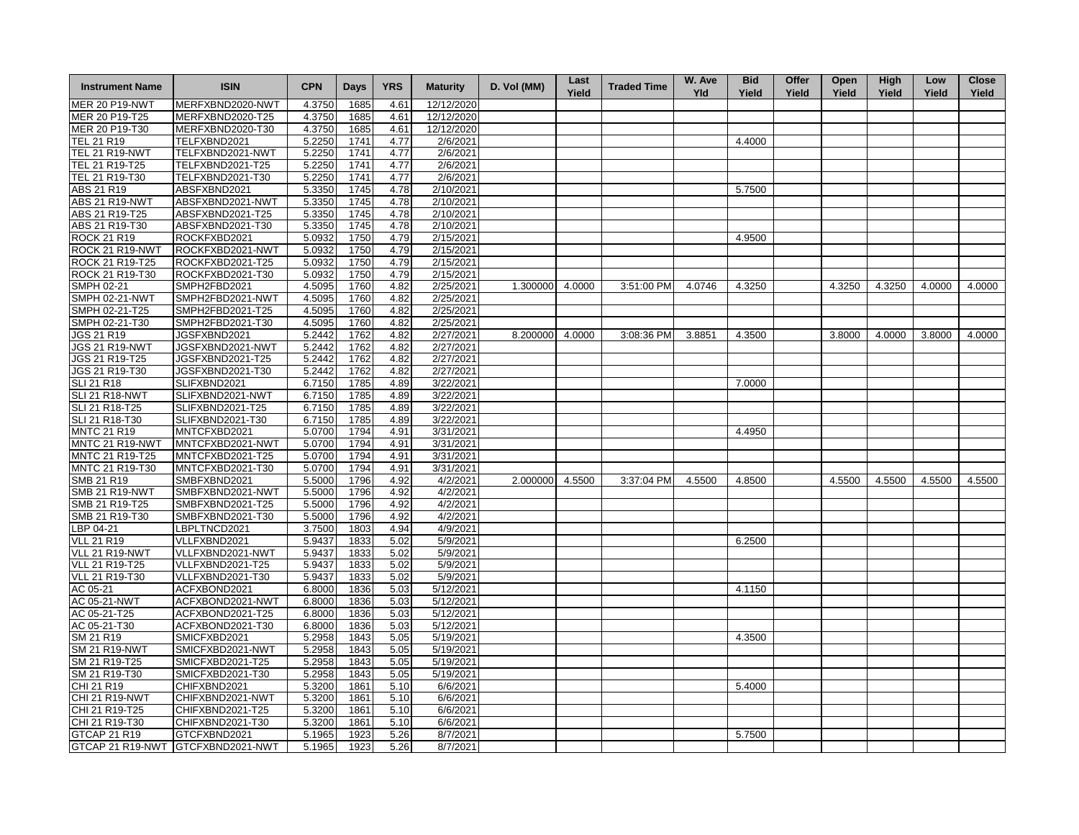| <b>Instrument Name</b> | <b>ISIN</b>                       | <b>CPN</b> | <b>Days</b> | <b>YRS</b> | <b>Maturity</b> | D. Vol (MM)     | Last<br>Yield | <b>Traded Time</b> | W. Ave<br>Yld | <b>Bid</b><br>Yield | Offer<br>Yield | Open<br>Yield | High<br>Yield | Low<br>Yield | <b>Close</b><br>Yield |
|------------------------|-----------------------------------|------------|-------------|------------|-----------------|-----------------|---------------|--------------------|---------------|---------------------|----------------|---------------|---------------|--------------|-----------------------|
| <b>MER 20 P19-NWT</b>  | MERFXBND2020-NWT                  | 4.3750     | 1685        | 4.61       | 12/12/2020      |                 |               |                    |               |                     |                |               |               |              |                       |
| MER 20 P19-T25         | MERFXBND2020-T25                  | 4.3750     | 1685        | 4.61       | 12/12/2020      |                 |               |                    |               |                     |                |               |               |              |                       |
| MER 20 P19-T30         | MERFXBND2020-T30                  | 4.3750     | 1685        | 4.61       | 12/12/2020      |                 |               |                    |               |                     |                |               |               |              |                       |
| TEL 21 R19             | TELFXBND2021                      | 5.2250     | 1741        | 4.77       | 2/6/2021        |                 |               |                    |               | 4.4000              |                |               |               |              |                       |
| <b>TEL 21 R19-NWT</b>  | TELFXBND2021-NWT                  | 5.2250     | 1741        | 4.77       | 2/6/2021        |                 |               |                    |               |                     |                |               |               |              |                       |
| TEL 21 R19-T25         | TELFXBND2021-T25                  | 5.2250     | 1741        | 4.77       | 2/6/2021        |                 |               |                    |               |                     |                |               |               |              |                       |
| TEL 21 R19-T30         | TELFXBND2021-T30                  | 5.2250     | 1741        | 4.77       | 2/6/2021        |                 |               |                    |               |                     |                |               |               |              |                       |
| ABS 21 R19             | ABSFXBND2021                      | 5.3350     | 1745        | 4.78       | 2/10/2021       |                 |               |                    |               | 5.7500              |                |               |               |              |                       |
| <b>ABS 21 R19-NWT</b>  | ABSFXBND2021-NWT                  | 5.3350     | 1745        | 4.78       | 2/10/2021       |                 |               |                    |               |                     |                |               |               |              |                       |
| ABS 21 R19-T25         | ABSFXBND2021-T25                  | 5.3350     | 1745        | 4.78       | 2/10/2021       |                 |               |                    |               |                     |                |               |               |              |                       |
| ABS 21 R19-T30         | ABSFXBND2021-T30                  | 5.3350     | 1745        | 4.78       | 2/10/2021       |                 |               |                    |               |                     |                |               |               |              |                       |
| <b>ROCK 21 R19</b>     | ROCKFXBD2021                      | 5.0932     | 1750        | 4.79       | 2/15/2021       |                 |               |                    |               | 4.9500              |                |               |               |              |                       |
| ROCK 21 R19-NWT        | ROCKFXBD2021-NWT                  | 5.0932     | 1750        | 4.79       | 2/15/2021       |                 |               |                    |               |                     |                |               |               |              |                       |
| ROCK 21 R19-T25        | ROCKFXBD2021-T25                  | 5.0932     | 1750        | 4.79       | 2/15/2021       |                 |               |                    |               |                     |                |               |               |              |                       |
| ROCK 21 R19-T30        | ROCKFXBD2021-T30                  | 5.0932     | 1750        | 4.79       | 2/15/2021       |                 |               |                    |               |                     |                |               |               |              |                       |
| SMPH 02-21             | SMPH2FBD2021                      | 4.5095     | 1760        | 4.82       | 2/25/2021       | 1.300000 4.0000 |               | 3:51:00 PM         | 4.0746        | 4.3250              |                | 4.3250        | 4.3250        | 4.0000       | 4.0000                |
| <b>SMPH 02-21-NWT</b>  | SMPH2FBD2021-NWT                  | 4.5095     | 1760        | 4.82       | 2/25/2021       |                 |               |                    |               |                     |                |               |               |              |                       |
| SMPH 02-21-T25         | SMPH2FBD2021-T25                  | 4.5095     | 1760        | 4.82       | 2/25/2021       |                 |               |                    |               |                     |                |               |               |              |                       |
| SMPH 02-21-T30         | SMPH2FBD2021-T30                  | 4.5095     | 1760        | 4.82       |                 |                 |               |                    |               |                     |                |               |               |              |                       |
|                        |                                   |            |             |            | 2/25/2021       |                 |               |                    |               |                     |                |               |               |              |                       |
| <b>JGS 21 R19</b>      | JGSFXBND2021                      | 5.2442     | 1762        | 4.82       | 2/27/2021       | 8.200000 4.0000 |               | 3:08:36 PM         | 3.8851        | 4.3500              |                | 3.8000        | 4.0000        | 3.8000       | 4.0000                |
| <b>JGS 21 R19-NWT</b>  | JGSFXBND2021-NWT                  | 5.2442     | 1762        | 4.82       | 2/27/2021       |                 |               |                    |               |                     |                |               |               |              |                       |
| JGS 21 R19-T25         | JGSFXBND2021-T25                  | 5.2442     | 1762        | 4.82       | 2/27/2021       |                 |               |                    |               |                     |                |               |               |              |                       |
| JGS 21 R19-T30         | JGSFXBND2021-T30                  | 5.2442     | 1762        | 4.82       | 2/27/2021       |                 |               |                    |               |                     |                |               |               |              |                       |
| <b>SLI 21 R18</b>      | SLIFXBND2021                      | 6.7150     | 1785        | 4.89       | 3/22/2021       |                 |               |                    |               | 7.0000              |                |               |               |              |                       |
| <b>SLI 21 R18-NWT</b>  | SLIFXBND2021-NWT                  | 6.7150     | 1785        | 4.89       | 3/22/2021       |                 |               |                    |               |                     |                |               |               |              |                       |
| SLI 21 R18-T25         | SLIFXBND2021-T25                  | 6.7150     | 1785        | 4.89       | 3/22/2021       |                 |               |                    |               |                     |                |               |               |              |                       |
| SLI 21 R18-T30         | SLIFXBND2021-T30                  | 6.7150     | 1785        | 4.89       | 3/22/2021       |                 |               |                    |               |                     |                |               |               |              |                       |
| <b>MNTC 21 R19</b>     | MNTCFXBD2021                      | 5.0700     | 1794        | 4.91       | 3/31/2021       |                 |               |                    |               | 4.4950              |                |               |               |              |                       |
| MNTC 21 R19-NWT        | MNTCFXBD2021-NWT                  | 5.0700     | 1794        | 4.91       | 3/31/2021       |                 |               |                    |               |                     |                |               |               |              |                       |
| MNTC 21 R19-T25        | MNTCFXBD2021-T25                  | 5.0700     | 1794        | 4.91       | 3/31/2021       |                 |               |                    |               |                     |                |               |               |              |                       |
| MNTC 21 R19-T30        | MNTCFXBD2021-T30                  | 5.0700     | 1794        | 4.91       | 3/31/2021       |                 |               |                    |               |                     |                |               |               |              |                       |
| SMB 21 R19             | SMBFXBND2021                      | 5.5000     | 1796        | 4.92       | 4/2/2021        | 2.000000 4.5500 |               | 3:37:04 PM         | 4.5500        | 4.8500              |                | 4.5500        | 4.5500        | 4.5500       | 4.5500                |
| <b>SMB 21 R19-NWT</b>  | SMBFXBND2021-NWT                  | 5.5000     | 1796        | 4.92       | 4/2/2021        |                 |               |                    |               |                     |                |               |               |              |                       |
| SMB 21 R19-T25         | SMBFXBND2021-T25                  | 5.5000     | 1796        | 4.92       | 4/2/2021        |                 |               |                    |               |                     |                |               |               |              |                       |
| SMB 21 R19-T30         | SMBFXBND2021-T30                  | 5.5000     | 1796        | 4.92       | 4/2/2021        |                 |               |                    |               |                     |                |               |               |              |                       |
| LBP 04-21              | LBPLTNCD2021                      | 3.7500     | 1803        | 4.94       | 4/9/2021        |                 |               |                    |               |                     |                |               |               |              |                       |
| <b>VLL 21 R19</b>      | VLLFXBND2021                      | 5.9437     | 1833        | 5.02       | 5/9/2021        |                 |               |                    |               | 6.2500              |                |               |               |              |                       |
| <b>VLL 21 R19-NWT</b>  | VLLFXBND2021-NWT                  | 5.9437     | 1833        | 5.02       | 5/9/2021        |                 |               |                    |               |                     |                |               |               |              |                       |
| <b>VLL 21 R19-T25</b>  | VLLFXBND2021-T25                  | 5.9437     | 1833        | 5.02       | 5/9/2021        |                 |               |                    |               |                     |                |               |               |              |                       |
| VLL 21 R19-T30         | VLLFXBND2021-T30                  | 5.9437     | 1833        | 5.02       | 5/9/2021        |                 |               |                    |               |                     |                |               |               |              |                       |
| AC 05-21               | ACFXBOND2021                      | 6.8000     | 1836        | 5.03       | 5/12/2021       |                 |               |                    |               | 4.1150              |                |               |               |              |                       |
| AC 05-21-NWT           | ACFXBOND2021-NWT                  | 6.8000     | 1836        | 5.03       | 5/12/2021       |                 |               |                    |               |                     |                |               |               |              |                       |
| AC 05-21-T25           | ACFXBOND2021-T25                  | 6.8000     | 1836        | 5.03       | 5/12/2021       |                 |               |                    |               |                     |                |               |               |              |                       |
| AC 05-21-T30           | ACFXBOND2021-T30                  | 6.8000     | 1836        | 5.03       | 5/12/2021       |                 |               |                    |               |                     |                |               |               |              |                       |
| SM 21 R19              | SMICFXBD2021                      | 5.2958     | 1843        | 5.05       | 5/19/2021       |                 |               |                    |               | 4.3500              |                |               |               |              |                       |
| <b>SM 21 R19-NWT</b>   | SMICFXBD2021-NWT                  | 5.2958     | 1843        | 5.05       | 5/19/2021       |                 |               |                    |               |                     |                |               |               |              |                       |
| SM 21 R19-T25          | SMICFXBD2021-T25                  | 5.2958     | 1843        | 5.05       | 5/19/2021       |                 |               |                    |               |                     |                |               |               |              |                       |
| SM 21 R19-T30          | SMICFXBD2021-T30                  | 5.2958     | 1843        | 5.05       | 5/19/2021       |                 |               |                    |               |                     |                |               |               |              |                       |
| CHI 21 R19             | CHIFXBND2021                      | 5.3200     | 1861        | 5.10       | 6/6/2021        |                 |               |                    |               | 5.4000              |                |               |               |              |                       |
| <b>CHI 21 R19-NWT</b>  | CHIFXBND2021-NWT                  | 5.3200     | 1861        | 5.10       | 6/6/2021        |                 |               |                    |               |                     |                |               |               |              |                       |
| CHI 21 R19-T25         | CHIFXBND2021-T25                  | 5.3200     | 1861        | 5.10       | 6/6/2021        |                 |               |                    |               |                     |                |               |               |              |                       |
| CHI 21 R19-T30         | CHIFXBND2021-T30                  | 5.3200     | 1861        | 5.10       | 6/6/2021        |                 |               |                    |               |                     |                |               |               |              |                       |
| GTCAP 21 R19           | GTCFXBND2021                      | 5.1965     | 1923        | 5.26       | 8/7/2021        |                 |               |                    |               | 5.7500              |                |               |               |              |                       |
|                        |                                   |            |             |            |                 |                 |               |                    |               |                     |                |               |               |              |                       |
|                        | GTCAP 21 R19-NWT GTCFXBND2021-NWT | 5.1965     | 1923        | 5.26       | 8/7/2021        |                 |               |                    |               |                     |                |               |               |              |                       |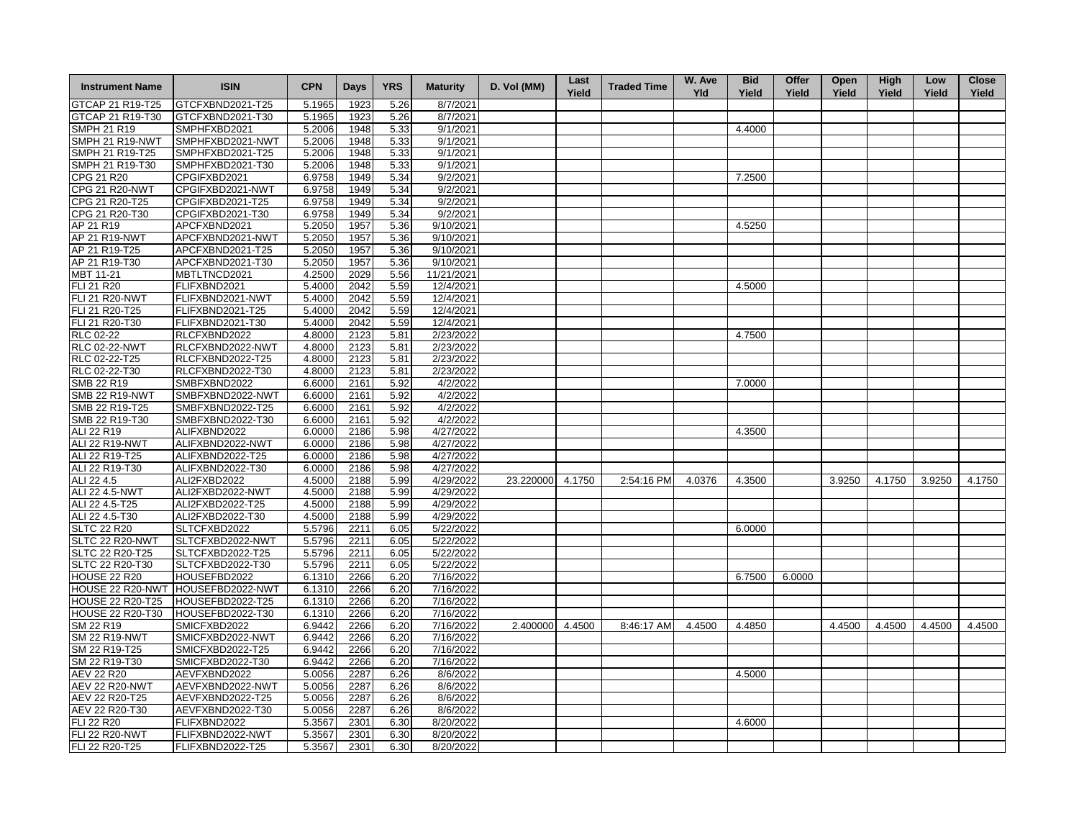| <b>Instrument Name</b>  | <b>ISIN</b>      | <b>CPN</b> | Days | <b>YRS</b> | <b>Maturity</b> | D. Vol (MM)      | Last<br>Yield | <b>Traded Time</b> | W. Ave<br><b>Yld</b> | <b>Bid</b><br>Yield | Offer<br>Yield | Open<br>Yield | <b>High</b><br>Yield | Low<br>Yield | <b>Close</b><br>Yield |
|-------------------------|------------------|------------|------|------------|-----------------|------------------|---------------|--------------------|----------------------|---------------------|----------------|---------------|----------------------|--------------|-----------------------|
| GTCAP 21 R19-T25        | GTCFXBND2021-T25 | 5.1965     | 1923 | 5.26       | 8/7/2021        |                  |               |                    |                      |                     |                |               |                      |              |                       |
| GTCAP 21 R19-T30        | GTCFXBND2021-T30 | 5.1965     | 1923 | 5.26       | 8/7/2021        |                  |               |                    |                      |                     |                |               |                      |              |                       |
| <b>SMPH 21 R19</b>      | SMPHFXBD2021     | 5.2006     | 1948 | 5.33       | 9/1/2021        |                  |               |                    |                      | 4.4000              |                |               |                      |              |                       |
| SMPH 21 R19-NWT         | SMPHFXBD2021-NWT | 5.2006     | 1948 | 5.33       | 9/1/2021        |                  |               |                    |                      |                     |                |               |                      |              |                       |
| SMPH 21 R19-T25         | SMPHFXBD2021-T25 | 5.2006     | 1948 | 5.33       | 9/1/2021        |                  |               |                    |                      |                     |                |               |                      |              |                       |
| SMPH 21 R19-T30         | SMPHFXBD2021-T30 | 5.2006     | 1948 | 5.33       | 9/1/2021        |                  |               |                    |                      |                     |                |               |                      |              |                       |
| CPG 21 R20              | CPGIFXBD2021     | 6.9758     | 1949 | 5.34       | 9/2/2021        |                  |               |                    |                      | 7.2500              |                |               |                      |              |                       |
| <b>CPG 21 R20-NWT</b>   | CPGIFXBD2021-NWT | 6.9758     | 1949 | 5.34       | 9/2/2021        |                  |               |                    |                      |                     |                |               |                      |              |                       |
| CPG 21 R20-T25          | CPGIFXBD2021-T25 | 6.9758     | 1949 | 5.34       | 9/2/2021        |                  |               |                    |                      |                     |                |               |                      |              |                       |
| CPG 21 R20-T30          | CPGIFXBD2021-T30 | 6.9758     | 1949 | 5.34       | 9/2/2021        |                  |               |                    |                      |                     |                |               |                      |              |                       |
| AP 21 R19               | APCFXBND2021     | 5.2050     | 1957 | 5.36       | 9/10/2021       |                  |               |                    |                      | 4.5250              |                |               |                      |              |                       |
| AP 21 R19-NWT           | APCFXBND2021-NWT | 5.2050     | 1957 | 5.36       | 9/10/2021       |                  |               |                    |                      |                     |                |               |                      |              |                       |
| AP 21 R19-T25           | APCFXBND2021-T25 | 5.2050     | 1957 | 5.36       | 9/10/2021       |                  |               |                    |                      |                     |                |               |                      |              |                       |
| AP 21 R19-T30           | APCFXBND2021-T30 | 5.2050     | 1957 | 5.36       | 9/10/2021       |                  |               |                    |                      |                     |                |               |                      |              |                       |
| MBT 11-21               | MBTLTNCD2021     | 4.2500     | 2029 | 5.56       | 11/21/2021      |                  |               |                    |                      |                     |                |               |                      |              |                       |
| <b>FLI 21 R20</b>       | FLIFXBND2021     | 5.4000     | 2042 | 5.59       | 12/4/2021       |                  |               |                    |                      | 4.5000              |                |               |                      |              |                       |
| <b>FLI 21 R20-NWT</b>   | FLIFXBND2021-NWT | 5.4000     | 2042 | 5.59       | 12/4/2021       |                  |               |                    |                      |                     |                |               |                      |              |                       |
| FLI 21 R20-T25          | FLIFXBND2021-T25 | 5.4000     | 2042 | 5.59       | 12/4/2021       |                  |               |                    |                      |                     |                |               |                      |              |                       |
| FLI 21 R20-T30          | FLIFXBND2021-T30 | 5.4000     | 2042 | 5.59       | 12/4/2021       |                  |               |                    |                      |                     |                |               |                      |              |                       |
| <b>RLC 02-22</b>        | RLCFXBND2022     | 4.8000     | 2123 | 5.81       | 2/23/2022       |                  |               |                    |                      | 4.7500              |                |               |                      |              |                       |
| <b>RLC 02-22-NWT</b>    | RLCFXBND2022-NWT | 4.8000     | 2123 | 5.81       | 2/23/2022       |                  |               |                    |                      |                     |                |               |                      |              |                       |
| RLC 02-22-T25           | RLCFXBND2022-T25 | 4.8000     | 2123 | 5.81       | 2/23/2022       |                  |               |                    |                      |                     |                |               |                      |              |                       |
|                         |                  |            |      |            |                 |                  |               |                    |                      |                     |                |               |                      |              |                       |
| RLC 02-22-T30           | RLCFXBND2022-T30 | 4.8000     | 2123 | 5.81       | 2/23/2022       |                  |               |                    |                      |                     |                |               |                      |              |                       |
| SMB 22 R19              | SMBFXBND2022     | 6.6000     | 2161 | 5.92       | 4/2/2022        |                  |               |                    |                      | 7.0000              |                |               |                      |              |                       |
| <b>SMB 22 R19-NWT</b>   | SMBFXBND2022-NWT | 6.6000     | 2161 | 5.92       | 4/2/2022        |                  |               |                    |                      |                     |                |               |                      |              |                       |
| SMB 22 R19-T25          | SMBFXBND2022-T25 | 6.6000     | 2161 | 5.92       | 4/2/2022        |                  |               |                    |                      |                     |                |               |                      |              |                       |
| SMB 22 R19-T30          | SMBFXBND2022-T30 | 6.6000     | 2161 | 5.92       | 4/2/2022        |                  |               |                    |                      |                     |                |               |                      |              |                       |
| ALI 22 R19              | ALIFXBND2022     | 6.0000     | 2186 | 5.98       | 4/27/2022       |                  |               |                    |                      | 4.3500              |                |               |                      |              |                       |
| ALI 22 R19-NWT          | ALIFXBND2022-NWT | 6.0000     | 2186 | 5.98       | 4/27/2022       |                  |               |                    |                      |                     |                |               |                      |              |                       |
| ALI 22 R19-T25          | ALIFXBND2022-T25 | 6.0000     | 2186 | 5.98       | 4/27/2022       |                  |               |                    |                      |                     |                |               |                      |              |                       |
| ALI 22 R19-T30          | ALIFXBND2022-T30 | 6.0000     | 2186 | 5.98       | 4/27/2022       |                  |               |                    |                      |                     |                |               |                      |              |                       |
| ALI 22 4.5              | ALI2FXBD2022     | 4.5000     | 2188 | 5.99       | 4/29/2022       | 23.220000 4.1750 |               | 2:54:16 PM         | 4.0376               | 4.3500              |                | 3.9250        | 4.1750               | 3.9250       | 4.1750                |
| ALI 22 4.5-NWT          | ALI2FXBD2022-NWT | 4.5000     | 2188 | 5.99       | 4/29/2022       |                  |               |                    |                      |                     |                |               |                      |              |                       |
| ALI 22 4.5-T25          | ALI2FXBD2022-T25 | 4.5000     | 2188 | 5.99       | 4/29/2022       |                  |               |                    |                      |                     |                |               |                      |              |                       |
| ALI 22 4.5-T30          | ALI2FXBD2022-T30 | 4.5000     | 2188 | 5.99       | 4/29/2022       |                  |               |                    |                      |                     |                |               |                      |              |                       |
| <b>SLTC 22 R20</b>      | SLTCFXBD2022     | 5.5796     | 2211 | 6.05       | 5/22/2022       |                  |               |                    |                      | 6.0000              |                |               |                      |              |                       |
| SLTC 22 R20-NWT         | SLTCFXBD2022-NWT | 5.5796     | 2211 | 6.05       | 5/22/2022       |                  |               |                    |                      |                     |                |               |                      |              |                       |
| SLTC 22 R20-T25         | SLTCFXBD2022-T25 | 5.5796     | 2211 | 6.05       | 5/22/2022       |                  |               |                    |                      |                     |                |               |                      |              |                       |
| SLTC 22 R20-T30         | SLTCFXBD2022-T30 | 5.5796     | 2211 | 6.05       | 5/22/2022       |                  |               |                    |                      |                     |                |               |                      |              |                       |
| <b>HOUSE 22 R20</b>     | HOUSEFBD2022     | 6.1310     | 2266 | 6.20       | 7/16/2022       |                  |               |                    |                      | 6.7500              | 6.0000         |               |                      |              |                       |
| HOUSE 22 R20-NWT        | HOUSEFBD2022-NWT | 6.1310     | 2266 | 6.20       | 7/16/2022       |                  |               |                    |                      |                     |                |               |                      |              |                       |
| <b>HOUSE 22 R20-T25</b> | HOUSEFBD2022-T25 | 6.1310     | 2266 | 6.20       | 7/16/2022       |                  |               |                    |                      |                     |                |               |                      |              |                       |
| <b>HOUSE 22 R20-T30</b> | HOUSEFBD2022-T30 | 6.1310     | 2266 | 6.20       | 7/16/2022       |                  |               |                    |                      |                     |                |               |                      |              |                       |
| SM 22 R19               | SMICFXBD2022     | 6.9442     | 2266 | 6.20       | 7/16/2022       | 2.400000         | 4.4500        | 8:46:17 AM         | 4.4500               | 4.4850              |                | 4.4500        | 4.4500               | 4.4500       | 4.4500                |
| <b>SM 22 R19-NWT</b>    | SMICFXBD2022-NWT | 6.9442     | 2266 | 6.20       | 7/16/2022       |                  |               |                    |                      |                     |                |               |                      |              |                       |
| SM 22 R19-T25           | SMICFXBD2022-T25 | 6.9442     | 2266 | 6.20       | 7/16/2022       |                  |               |                    |                      |                     |                |               |                      |              |                       |
| SM 22 R19-T30           | SMICFXBD2022-T30 | 6.9442     | 2266 | 6.20       | 7/16/2022       |                  |               |                    |                      |                     |                |               |                      |              |                       |
| <b>AEV 22 R20</b>       | AEVFXBND2022     | 5.0056     | 2287 | 6.26       | 8/6/2022        |                  |               |                    |                      | 4.5000              |                |               |                      |              |                       |
| <b>AEV 22 R20-NWT</b>   | AEVFXBND2022-NWT | 5.0056     | 2287 | 6.26       | 8/6/2022        |                  |               |                    |                      |                     |                |               |                      |              |                       |
| AEV 22 R20-T25          | AEVFXBND2022-T25 | 5.0056     | 2287 | 6.26       | 8/6/2022        |                  |               |                    |                      |                     |                |               |                      |              |                       |
| AEV 22 R20-T30          | AEVFXBND2022-T30 | 5.0056     | 2287 | 6.26       | 8/6/2022        |                  |               |                    |                      |                     |                |               |                      |              |                       |
| FLI 22 R20              | FLIFXBND2022     | 5.3567     | 2301 | 6.30       | 8/20/2022       |                  |               |                    |                      | 4.6000              |                |               |                      |              |                       |
| <b>FLI 22 R20-NWT</b>   | FLIFXBND2022-NWT | 5.3567     | 2301 | 6.30       | 8/20/2022       |                  |               |                    |                      |                     |                |               |                      |              |                       |
| FLI 22 R20-T25          | FLIFXBND2022-T25 | 5.3567     | 2301 | 6.30       | 8/20/2022       |                  |               |                    |                      |                     |                |               |                      |              |                       |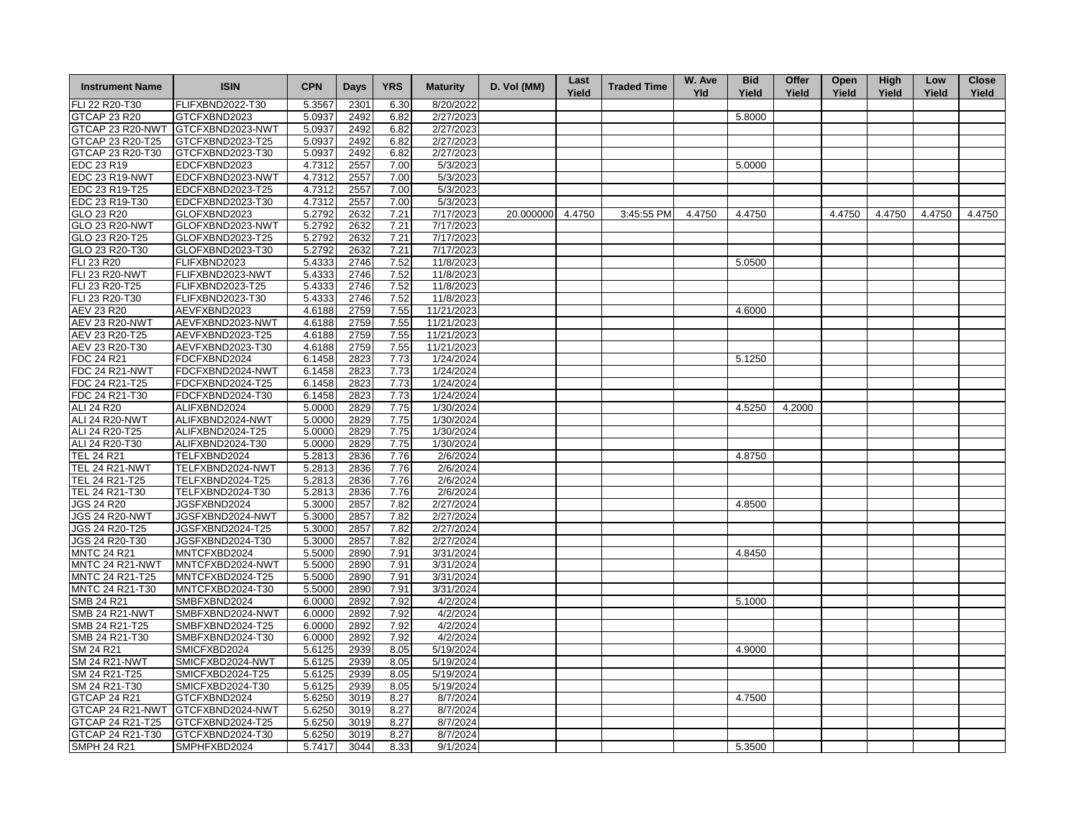| <b>Instrument Name</b> | <b>ISIN</b>      | <b>CPN</b> | <b>Days</b> | <b>YRS</b> | <b>Maturity</b> | D. Vol (MM) | Last<br>Yield | <b>Traded Time</b> | W. Ave<br><b>Yld</b> | <b>Bid</b><br>Yield | Offer<br>Yield | Open<br>Yield | <b>High</b><br>Yield | Low<br>Yield | <b>Close</b><br>Yield |
|------------------------|------------------|------------|-------------|------------|-----------------|-------------|---------------|--------------------|----------------------|---------------------|----------------|---------------|----------------------|--------------|-----------------------|
| FLI 22 R20-T30         | FLIFXBND2022-T30 | 5.3567     | 2301        | 6.30       | 8/20/2022       |             |               |                    |                      |                     |                |               |                      |              |                       |
| <b>GTCAP 23 R20</b>    | GTCFXBND2023     | 5.0937     | 2492        | 6.82       | 2/27/2023       |             |               |                    |                      | 5.8000              |                |               |                      |              |                       |
| GTCAP 23 R20-NWT       | GTCFXBND2023-NWT | 5.0937     | 2492        | 6.82       | 2/27/2023       |             |               |                    |                      |                     |                |               |                      |              |                       |
| GTCAP 23 R20-T25       | GTCFXBND2023-T25 | 5.0937     | 2492        | 6.82       | 2/27/2023       |             |               |                    |                      |                     |                |               |                      |              |                       |
| GTCAP 23 R20-T30       | GTCFXBND2023-T30 | 5.0937     | 2492        | 6.82       | 2/27/2023       |             |               |                    |                      |                     |                |               |                      |              |                       |
| EDC 23 R19             | EDCFXBND2023     | 4.7312     | 2557        | 7.00       | 5/3/2023        |             |               |                    |                      | 5.0000              |                |               |                      |              |                       |
| EDC 23 R19-NWT         | EDCFXBND2023-NWT | 4.7312     | 2557        | 7.00       | 5/3/2023        |             |               |                    |                      |                     |                |               |                      |              |                       |
| EDC 23 R19-T25         | EDCFXBND2023-T25 | 4.7312     | 2557        | 7.00       | 5/3/2023        |             |               |                    |                      |                     |                |               |                      |              |                       |
| EDC 23 R19-T30         | EDCFXBND2023-T30 | 4.7312     | 2557        | 7.00       | 5/3/2023        |             |               |                    |                      |                     |                |               |                      |              |                       |
| GLO 23 R20             | GLOFXBND2023     | 5.2792     | 2632        | 7.21       | 7/17/2023       | 20.000000   | 4.4750        | 3:45:55 PM         | 4.4750               | 4.4750              |                | 4.4750        | 4.4750               | 4.4750       | 4.4750                |
| <b>GLO 23 R20-NWT</b>  | GLOFXBND2023-NWT | 5.2792     | 2632        | 7.21       | 7/17/2023       |             |               |                    |                      |                     |                |               |                      |              |                       |
| GLO 23 R20-T25         | GLOFXBND2023-T25 | 5.2792     | 2632        | 7.21       | 7/17/2023       |             |               |                    |                      |                     |                |               |                      |              |                       |
| GLO 23 R20-T30         | GLOFXBND2023-T30 | 5.2792     | 2632        | 7.21       | 7/17/2023       |             |               |                    |                      |                     |                |               |                      |              |                       |
| FLI 23 R20             | FLIFXBND2023     | 5.4333     | 2746        | 7.52       | 11/8/2023       |             |               |                    |                      | 5.0500              |                |               |                      |              |                       |
| <b>FLI 23 R20-NWT</b>  | FLIFXBND2023-NWT | 5.4333     | 2746        | 7.52       | 11/8/2023       |             |               |                    |                      |                     |                |               |                      |              |                       |
| FLI 23 R20-T25         | FLIFXBND2023-T25 | 5.4333     | 2746        | 7.52       | 11/8/2023       |             |               |                    |                      |                     |                |               |                      |              |                       |
| FLI 23 R20-T30         | FLIFXBND2023-T30 | 5.4333     | 2746        | 7.52       | 11/8/2023       |             |               |                    |                      |                     |                |               |                      |              |                       |
| AEV 23 R20             | AEVFXBND2023     | 4.6188     | 2759        | 7.55       | 11/21/2023      |             |               |                    |                      | 4.6000              |                |               |                      |              |                       |
| <b>AEV 23 R20-NWT</b>  | AEVFXBND2023-NWT | 4.6188     | 2759        | 7.55       | 11/21/2023      |             |               |                    |                      |                     |                |               |                      |              |                       |
| AEV 23 R20-T25         | AEVFXBND2023-T25 | 4.6188     | 2759        | 7.55       | 11/21/2023      |             |               |                    |                      |                     |                |               |                      |              |                       |
| AEV 23 R20-T30         | AEVFXBND2023-T30 | 4.6188     | 2759        | 7.55       | 11/21/2023      |             |               |                    |                      |                     |                |               |                      |              |                       |
| FDC 24 R21             | FDCFXBND2024     | 6.1458     | 2823        | 7.73       | 1/24/2024       |             |               |                    |                      | 5.1250              |                |               |                      |              |                       |
| FDC 24 R21-NWT         | FDCFXBND2024-NWT | 6.1458     | 2823        | 7.73       | 1/24/2024       |             |               |                    |                      |                     |                |               |                      |              |                       |
| FDC 24 R21-T25         | FDCFXBND2024-T25 | 6.1458     | 2823        | 7.73       | 1/24/2024       |             |               |                    |                      |                     |                |               |                      |              |                       |
| FDC 24 R21-T30         | FDCFXBND2024-T30 | 6.1458     | 2823        | 7.73       | 1/24/2024       |             |               |                    |                      |                     |                |               |                      |              |                       |
| ALI 24 R20             | ALIFXBND2024     | 5.0000     | 2829        | 7.75       | 1/30/2024       |             |               |                    |                      | 4.5250              | 4.2000         |               |                      |              |                       |
| ALI 24 R20-NWT         | ALIFXBND2024-NWT | 5.0000     | 2829        | 7.75       | 1/30/2024       |             |               |                    |                      |                     |                |               |                      |              |                       |
| ALI 24 R20-T25         | ALIFXBND2024-T25 | 5.0000     | 2829        | 7.75       | 1/30/2024       |             |               |                    |                      |                     |                |               |                      |              |                       |
| ALI 24 R20-T30         | ALIFXBND2024-T30 | 5.0000     | 2829        | 7.75       | 1/30/2024       |             |               |                    |                      |                     |                |               |                      |              |                       |
| <b>TEL 24 R21</b>      | TELFXBND2024     | 5.2813     | 2836        | 7.76       | 2/6/2024        |             |               |                    |                      | 4.8750              |                |               |                      |              |                       |
| <b>TEL 24 R21-NWT</b>  | TELFXBND2024-NWT | 5.2813     | 2836        | 7.76       | 2/6/2024        |             |               |                    |                      |                     |                |               |                      |              |                       |
| TEL 24 R21-T25         | TELFXBND2024-T25 | 5.2813     | 2836        | 7.76       | 2/6/2024        |             |               |                    |                      |                     |                |               |                      |              |                       |
| TEL 24 R21-T30         | TELFXBND2024-T30 | 5.2813     | 2836        | 7.76       | 2/6/2024        |             |               |                    |                      |                     |                |               |                      |              |                       |
| <b>JGS 24 R20</b>      | JGSFXBND2024     | 5.3000     | 2857        | 7.82       | 2/27/2024       |             |               |                    |                      | 4.8500              |                |               |                      |              |                       |
| <b>JGS 24 R20-NWT</b>  | JGSFXBND2024-NWT | 5.3000     | 2857        | 7.82       | 2/27/2024       |             |               |                    |                      |                     |                |               |                      |              |                       |
| <b>JGS 24 R20-T25</b>  | JGSFXBND2024-T25 | 5.3000     | 2857        | 7.82       | 2/27/2024       |             |               |                    |                      |                     |                |               |                      |              |                       |
| JGS 24 R20-T30         | JGSFXBND2024-T30 | 5.3000     | 2857        | 7.82       | 2/27/2024       |             |               |                    |                      |                     |                |               |                      |              |                       |
| <b>MNTC 24 R21</b>     | MNTCFXBD2024     | 5.5000     | 2890        | 7.91       | 3/31/2024       |             |               |                    |                      | 4.8450              |                |               |                      |              |                       |
| MNTC 24 R21-NWT        | MNTCFXBD2024-NWT | 5.5000     | 2890        | 7.91       | 3/31/2024       |             |               |                    |                      |                     |                |               |                      |              |                       |
| MNTC 24 R21-T25        | MNTCFXBD2024-T25 | 5.5000     | 2890        | 7.91       | 3/31/2024       |             |               |                    |                      |                     |                |               |                      |              |                       |
| MNTC 24 R21-T30        | MNTCFXBD2024-T30 | 5.5000     | 2890        | 7.91       | 3/31/2024       |             |               |                    |                      |                     |                |               |                      |              |                       |
| SMB 24 R21             | SMBFXBND2024     | 6.0000     | 2892        | 7.92       | 4/2/2024        |             |               |                    |                      | 5.1000              |                |               |                      |              |                       |
| <b>SMB 24 R21-NWT</b>  | SMBFXBND2024-NWT | 6.0000     | 2892        | 7.92       | 4/2/2024        |             |               |                    |                      |                     |                |               |                      |              |                       |
| SMB 24 R21-T25         | SMBFXBND2024-T25 | 6.0000     | 2892        | 7.92       | 4/2/2024        |             |               |                    |                      |                     |                |               |                      |              |                       |
| SMB 24 R21-T30         | SMBFXBND2024-T30 | 6.0000     | 2892        | 7.92       | 4/2/2024        |             |               |                    |                      |                     |                |               |                      |              |                       |
| SM 24 R21              | SMICFXBD2024     | 5.6125     | 2939        | 8.05       | 5/19/2024       |             |               |                    |                      | 4.9000              |                |               |                      |              |                       |
| <b>SM 24 R21-NWT</b>   | SMICFXBD2024-NWT | 5.6125     | 2939        | 8.05       | 5/19/2024       |             |               |                    |                      |                     |                |               |                      |              |                       |
| SM 24 R21-T25          | SMICFXBD2024-T25 | 5.6125     | 2939        | 8.05       | 5/19/2024       |             |               |                    |                      |                     |                |               |                      |              |                       |
| SM 24 R21-T30          | SMICFXBD2024-T30 | 5.6125     | 2939        | 8.05       | 5/19/2024       |             |               |                    |                      |                     |                |               |                      |              |                       |
| GTCAP 24 R21           | GTCFXBND2024     | 5.6250     | 3019        | 8.27       | 8/7/2024        |             |               |                    |                      | 4.7500              |                |               |                      |              |                       |
| GTCAP 24 R21-NWT       | GTCFXBND2024-NWT | 5.6250     | 3019        | 8.27       | 8/7/2024        |             |               |                    |                      |                     |                |               |                      |              |                       |
| GTCAP 24 R21-T25       | GTCFXBND2024-T25 | 5.6250     | 3019        | 8.27       | 8/7/2024        |             |               |                    |                      |                     |                |               |                      |              |                       |
| GTCAP 24 R21-T30       | GTCFXBND2024-T30 | 5.6250     | 3019        | 8.27       | 8/7/2024        |             |               |                    |                      |                     |                |               |                      |              |                       |
| <b>SMPH 24 R21</b>     | SMPHFXBD2024     | 5.7417     | 3044        | 8.33       | 9/1/2024        |             |               |                    |                      | 5.3500              |                |               |                      |              |                       |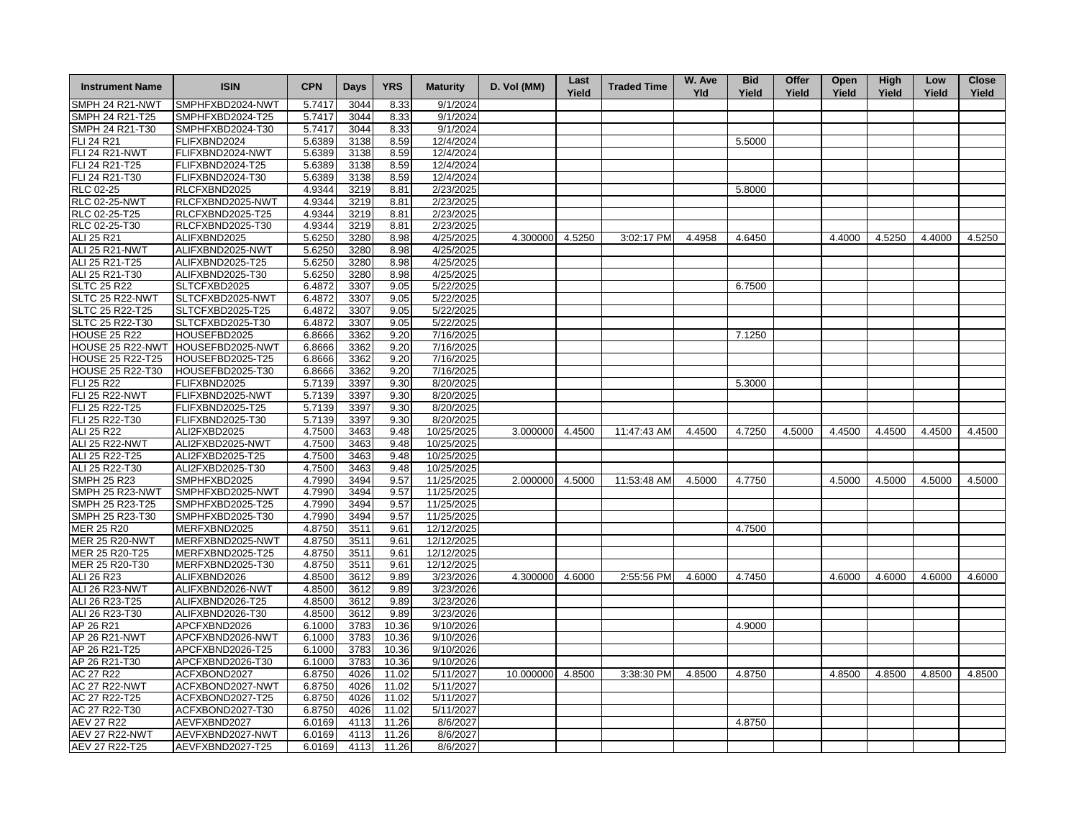| <b>Instrument Name</b>  | <b>ISIN</b>      | <b>CPN</b> | <b>Days</b> | <b>YRS</b> | <b>Maturity</b> | D. Vol (MM)      | Last<br>Yield | <b>Traded Time</b> | W. Ave<br>Yld | <b>Bid</b><br>Yield | Offer<br>Yield | Open<br>Yield | <b>High</b><br>Yield | Low<br>Yield | <b>Close</b><br>Yield |
|-------------------------|------------------|------------|-------------|------------|-----------------|------------------|---------------|--------------------|---------------|---------------------|----------------|---------------|----------------------|--------------|-----------------------|
| SMPH 24 R21-NWT         | SMPHFXBD2024-NWT | 5.7417     | 3044        | 8.33       | 9/1/2024        |                  |               |                    |               |                     |                |               |                      |              |                       |
| SMPH 24 R21-T25         | SMPHFXBD2024-T25 | 5.7417     | 3044        | 8.33       | 9/1/2024        |                  |               |                    |               |                     |                |               |                      |              |                       |
| SMPH 24 R21-T30         | SMPHFXBD2024-T30 | 5.7417     | 3044        | 8.33       | 9/1/2024        |                  |               |                    |               |                     |                |               |                      |              |                       |
| FLI 24 R21              | FLIFXBND2024     | 5.6389     | 3138        | 8.59       | 12/4/2024       |                  |               |                    |               | 5.5000              |                |               |                      |              |                       |
| <b>FLI 24 R21-NWT</b>   | FLIFXBND2024-NWT | 5.6389     | 3138        | 8.59       | 12/4/2024       |                  |               |                    |               |                     |                |               |                      |              |                       |
| FLI 24 R21-T25          | FLIFXBND2024-T25 | 5.6389     | 3138        | 8.59       | 12/4/2024       |                  |               |                    |               |                     |                |               |                      |              |                       |
| FLI 24 R21-T30          | FLIFXBND2024-T30 | 5.6389     | 3138        | 8.59       | 12/4/2024       |                  |               |                    |               |                     |                |               |                      |              |                       |
| RLC 02-25               | RLCFXBND2025     | 4.9344     | 3219        | 8.81       | 2/23/2025       |                  |               |                    |               | 5.8000              |                |               |                      |              |                       |
| <b>RLC 02-25-NWT</b>    | RLCFXBND2025-NWT | 4.9344     | 3219        | 8.81       | 2/23/2025       |                  |               |                    |               |                     |                |               |                      |              |                       |
| RLC 02-25-T25           | RLCFXBND2025-T25 | 4.9344     | 3219        | 8.81       | 2/23/2025       |                  |               |                    |               |                     |                |               |                      |              |                       |
| RLC 02-25-T30           | RLCFXBND2025-T30 | 4.9344     | 3219        | 8.81       | 2/23/2025       |                  |               |                    |               |                     |                |               |                      |              |                       |
| ALI 25 R21              | ALIFXBND2025     | 5.6250     | 3280        | 8.98       | 4/25/2025       | 4.300000 4.5250  |               | 3:02:17 PM         | 4.4958        | 4.6450              |                | 4.4000        | 4.5250               | 4.4000       | 4.5250                |
| <b>ALI 25 R21-NWT</b>   | ALIFXBND2025-NWT | 5.6250     | 3280        | 8.98       | 4/25/2025       |                  |               |                    |               |                     |                |               |                      |              |                       |
| ALI 25 R21-T25          | ALIFXBND2025-T25 | 5.6250     | 3280        | 8.98       | 4/25/2025       |                  |               |                    |               |                     |                |               |                      |              |                       |
| ALI 25 R21-T30          | ALIFXBND2025-T30 | 5.6250     | 3280        | 8.98       | 4/25/2025       |                  |               |                    |               |                     |                |               |                      |              |                       |
| <b>SLTC 25 R22</b>      | SLTCFXBD2025     | 6.4872     | 3307        | 9.05       | 5/22/2025       |                  |               |                    |               | 6.7500              |                |               |                      |              |                       |
| SLTC 25 R22-NWT         | SLTCFXBD2025-NWT | 6.4872     | 3307        | 9.05       | 5/22/2025       |                  |               |                    |               |                     |                |               |                      |              |                       |
| SLTC 25 R22-T25         | SLTCFXBD2025-T25 | 6.4872     | 3307        | 9.05       | 5/22/2025       |                  |               |                    |               |                     |                |               |                      |              |                       |
| SLTC 25 R22-T30         | SLTCFXBD2025-T30 | 6.4872     | 3307        | 9.05       | 5/22/2025       |                  |               |                    |               |                     |                |               |                      |              |                       |
| <b>HOUSE 25 R22</b>     | HOUSEFBD2025     | 6.8666     | 3362        | 9.20       | 7/16/2025       |                  |               |                    |               | 7.1250              |                |               |                      |              |                       |
| HOUSE 25 R22-NWT        | HOUSEFBD2025-NWT | 6.8666     | 3362        | 9.20       | 7/16/2025       |                  |               |                    |               |                     |                |               |                      |              |                       |
| HOUSE 25 R22-T25        | HOUSEFBD2025-T25 | 6.8666     | 3362        | 9.20       | 7/16/2025       |                  |               |                    |               |                     |                |               |                      |              |                       |
| <b>HOUSE 25 R22-T30</b> | HOUSEFBD2025-T30 | 6.8666     | 3362        | 9.20       | 7/16/2025       |                  |               |                    |               |                     |                |               |                      |              |                       |
| FLI 25 R22              | FLIFXBND2025     | 5.7139     | 3397        | 9.30       | 8/20/2025       |                  |               |                    |               | 5.3000              |                |               |                      |              |                       |
| <b>FLI 25 R22-NWT</b>   | FLIFXBND2025-NWT | 5.7139     | 3397        | 9.30       | 8/20/2025       |                  |               |                    |               |                     |                |               |                      |              |                       |
| FLI 25 R22-T25          | FLIFXBND2025-T25 | 5.7139     | 3397        | 9.30       | 8/20/2025       |                  |               |                    |               |                     |                |               |                      |              |                       |
| FLI 25 R22-T30          | FLIFXBND2025-T30 | 5.7139     | 3397        | 9.30       | 8/20/2025       |                  |               |                    |               |                     |                |               |                      |              |                       |
| ALI 25 R22              | ALI2FXBD2025     | 4.7500     | 3463        | 9.48       | 10/25/2025      | 3.000000         | 4.4500        | 11:47:43 AM        | 4.4500        | 4.7250              | 4.5000         | 4.4500        | 4.4500               | 4.4500       | 4.4500                |
| <b>ALI 25 R22-NWT</b>   | ALI2FXBD2025-NWT | 4.7500     | 3463        | 9.48       | 10/25/2025      |                  |               |                    |               |                     |                |               |                      |              |                       |
| ALI 25 R22-T25          | ALI2FXBD2025-T25 | 4.7500     | 3463        | 9.48       | 10/25/2025      |                  |               |                    |               |                     |                |               |                      |              |                       |
| ALI 25 R22-T30          | ALI2FXBD2025-T30 | 4.7500     | 3463        | 9.48       | 10/25/2025      |                  |               |                    |               |                     |                |               |                      |              |                       |
| <b>SMPH 25 R23</b>      | SMPHFXBD2025     | 4.7990     | 3494        | 9.57       | 11/25/2025      | 2.000000 4.5000  |               | 11:53:48 AM        | 4.5000        | 4.7750              |                | 4.5000        | 4.5000               | 4.5000       | 4.5000                |
| SMPH 25 R23-NWT         | SMPHFXBD2025-NWT | 4.7990     | 3494        | 9.57       | 11/25/2025      |                  |               |                    |               |                     |                |               |                      |              |                       |
| SMPH 25 R23-T25         | SMPHFXBD2025-T25 | 4.7990     | 3494        | 9.57       | 11/25/2025      |                  |               |                    |               |                     |                |               |                      |              |                       |
| SMPH 25 R23-T30         | SMPHFXBD2025-T30 | 4.7990     | 3494        | 9.57       | 11/25/2025      |                  |               |                    |               |                     |                |               |                      |              |                       |
| MER 25 R20              | MERFXBND2025     | 4.8750     | 3511        | 9.61       | 12/12/2025      |                  |               |                    |               | 4.7500              |                |               |                      |              |                       |
| <b>MER 25 R20-NWT</b>   | MERFXBND2025-NWT | 4.8750     | 3511        | 9.61       | 12/12/2025      |                  |               |                    |               |                     |                |               |                      |              |                       |
| MER 25 R20-T25          | MERFXBND2025-T25 | 4.8750     | 3511        | 9.61       | 12/12/2025      |                  |               |                    |               |                     |                |               |                      |              |                       |
| MER 25 R20-T30          | MERFXBND2025-T30 | 4.8750     | 3511        | 9.61       | 12/12/2025      |                  |               |                    |               |                     |                |               |                      |              |                       |
| ALI 26 R23              | ALIFXBND2026     | 4.8500     | 3612        | 9.89       | 3/23/2026       | 4.300000         | 4.6000        | 2:55:56 PM         | 4.6000        | 4.7450              |                | 4.6000        | 4.6000               | 4.6000       | 4.6000                |
| ALI 26 R23-NWT          | ALIFXBND2026-NWT | 4.8500     | 3612        | 9.89       | 3/23/2026       |                  |               |                    |               |                     |                |               |                      |              |                       |
| ALI 26 R23-T25          | ALIFXBND2026-T25 | 4.8500     | 3612        | 9.89       | 3/23/2026       |                  |               |                    |               |                     |                |               |                      |              |                       |
| ALI 26 R23-T30          | ALIFXBND2026-T30 | 4.8500     | 3612        | 9.89       | 3/23/2026       |                  |               |                    |               |                     |                |               |                      |              |                       |
| AP 26 R21               | APCFXBND2026     | 6.1000     | 3783        | 10.36      | 9/10/2026       |                  |               |                    |               | 4.9000              |                |               |                      |              |                       |
| AP 26 R21-NWT           | APCFXBND2026-NWT | 6.1000     | 3783        | 10.36      | 9/10/2026       |                  |               |                    |               |                     |                |               |                      |              |                       |
| AP 26 R21-T25           | APCFXBND2026-T25 | 6.1000     | 3783        | 10.36      | 9/10/2026       |                  |               |                    |               |                     |                |               |                      |              |                       |
| AP 26 R21-T30           | APCFXBND2026-T30 | 6.1000     | 3783        | 10.36      | 9/10/2026       |                  |               |                    |               |                     |                |               |                      |              |                       |
| AC 27 R22               | ACFXBOND2027     | 6.8750     | 4026        | 11.02      | 5/11/2027       | 10.000000 4.8500 |               | 3:38:30 PM         | 4.8500        | 4.8750              |                | 4.8500        | 4.8500               | 4.8500       | 4.8500                |
| <b>AC 27 R22-NWT</b>    | ACFXBOND2027-NWT | 6.8750     | 4026        | 11.02      | 5/11/2027       |                  |               |                    |               |                     |                |               |                      |              |                       |
| AC 27 R22-T25           | ACFXBOND2027-T25 | 6.8750     | 4026        | 11.02      | 5/11/2027       |                  |               |                    |               |                     |                |               |                      |              |                       |
| AC 27 R22-T30           | ACFXBOND2027-T30 | 6.8750     | 4026        | 11.02      | 5/11/2027       |                  |               |                    |               |                     |                |               |                      |              |                       |
| <b>AEV 27 R22</b>       | AEVFXBND2027     | 6.0169     | 4113        | 11.26      | 8/6/2027        |                  |               |                    |               | 4.8750              |                |               |                      |              |                       |
| <b>AEV 27 R22-NWT</b>   | AEVFXBND2027-NWT | 6.0169     | 4113        | 11.26      | 8/6/2027        |                  |               |                    |               |                     |                |               |                      |              |                       |
| AEV 27 R22-T25          | AEVFXBND2027-T25 | 6.0169     | 4113        | 11.26      | 8/6/2027        |                  |               |                    |               |                     |                |               |                      |              |                       |
|                         |                  |            |             |            |                 |                  |               |                    |               |                     |                |               |                      |              |                       |